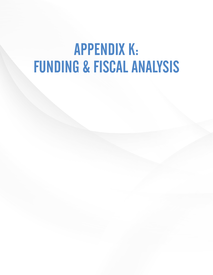# APPENDIX K: FUNDING & FISCAL ANALYSIS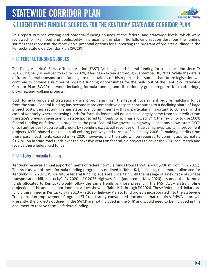

### K.1 IDENTIFYING FUNDING SOURCES FOR THE KENTUCKY STATEWIDE CORRIDOR PLAN

This report outlines existing and potential funding sources at the federal and statewide levels, which were reviewed for likelihood and applicability in preparing this plan. The following section describes the funding sources that represent the most viable potential options for supporting the program of projects outlined in the Kentucky Statewide Corridor Plan (SWCP).

### K.1.1 FEDERAL FUNDING SOURCES

The Fixing America's Surface Transportation (FAST) Act has guided federal funding for transportation since FY 2016. Originally scheduled to expire in 2020, it has been extended through September 30, 2021. While the details of future federal transportation funding are uncertain as of this report, it is assumed that future legislation will continue to provide a number of possible funding opportunities for the build out of the Kentucky Statewide Corridor Plan (SWCP) network, including formula funding and discretionary grant programs for road, bridge, bicycling, and walking projects.

Both formula funds and discretionary grant programs from the federal government require matching funds from the state. Federal funding has become more competitive despite contributing to a declining share of large project costs, thus requiring larger state/local commitments – this is particularly important to consider in the case of Kentucky where matching funds for formula federal-aid dollars have largely come from toll credits from the state's previous investment in state-sponsored toll roads, which has allowed KYTC the flexibility to use 100% federal funding on federal-aid projects in the past. Federal law governing highway allocations allows state DOTs or toll authorities to accrue toll credits by spending excess toll revenues on Title 23 highway capital improvement projects. KYTC phased out tolls on all existing parkway and turnpike facilities by 2006. Remaining credits from these past investments expired in FY 2020, however, and the state will be required to commit approximately \$1.2 billion in state road funds over the next five years on federal-aid projects to cover the 20% local match and receive these federal-aid funds.

### K.1.1.1 Federal Formula Funding

Kentucky receives annual apportionments of federal formula funds from FHWA (about \$736 million in FY 2021). The breakdown of these formula funding programs is outlined in **Table K.1**, including the amount allocated for Kentucky in FY 2021. While future federal funding levels are uncertain until the passage of a new federal surface transportation bill, Kentucky's FY 2020 – FY 2026 Highway Plan (adopted in May 2020) assumed that formula funds allocated to Kentucky would follow the same trends as those present in the FAST Act – a straight-line projection of the annual apportionment values shown in **Table K.1** through FY 2026. These federal-aid dollars are fully programmed in Kentucky's FY 2020 – FY 2026 Highway Plan to fund projects incorporated into the Statewide Transportation Improvement Program (STIP), a fiscally constrained document that requires FHWA approval. Presently, the projects outlined in the SWCP are not included in the STIP and would need to be included in this document to receive formula federal funding.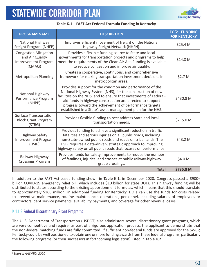

| <b>PROGRAM NAME</b>                                                                     | <b>DESCRIPTION</b>                                                                                                                                                                                                                                                                                                                                                                 | FY'21 FUNDING<br><b>FOR KENTUCKY</b> |
|-----------------------------------------------------------------------------------------|------------------------------------------------------------------------------------------------------------------------------------------------------------------------------------------------------------------------------------------------------------------------------------------------------------------------------------------------------------------------------------|--------------------------------------|
| National Highway<br>Freight Program (NHFP)                                              | Improves efficient movement of freight on the National<br>Highway Freight Network (NHFN).                                                                                                                                                                                                                                                                                          | \$25.4 M                             |
| <b>Congestion Mitigation</b><br>and Air Quality<br><b>Improvement Program</b><br>(CMAQ) | Provides a flexible funding source to State and local<br>governments for transportation projects and programs to help<br>meet the requirements of the Clean Air Act. Funding is available<br>to reduce congestion and improve air quality.                                                                                                                                         | \$14.8 M                             |
| <b>Metropolitan Planning</b>                                                            | Creates a cooperative, continuous, and comprehensive<br>framework for making transportation investment decisions in<br>metropolitan areas.                                                                                                                                                                                                                                         | \$2.7 M                              |
| National Highway<br>Performance Program<br>(NHPP)                                       | Provides support for the condition and performance of the<br>National Highway System (NHS), for the construction of new<br>facilities on the NHS, and to ensure that investments of Federal-<br>aid funds in highway construction are directed to support<br>progress toward the achievement of performance targets<br>established in a State's asset management plan for the NHS. | \$430.8 M                            |
| <b>Surface Transportation</b><br><b>Block Grant Program</b><br>(STBG)                   | Provides flexible funding to best address State and local<br>transportation needs.                                                                                                                                                                                                                                                                                                 | \$215.0 M                            |
| <b>Highway Safety</b><br><b>Improvement Program</b><br>(HSIP)                           | Provides funding to achieve a significant reduction in traffic<br>fatalities and serious injuries on all public roads, including<br>non-State-owned public roads and roads on tribal lands. The<br>HSIP requires a data-driven, strategic approach to improving<br>highway safety on all public roads that focuses on performance.                                                 | \$43.2 M                             |
| Railway-Highway<br><b>Crossings Program</b>                                             | Provides funds for safety improvements to reduce the number<br>of fatalities, injuries, and crashes at public railway-highway<br>grade crossings.                                                                                                                                                                                                                                  | \$4.0 M                              |
|                                                                                         | <b>Total</b>                                                                                                                                                                                                                                                                                                                                                                       | \$735.8 M                            |

In addition to the FAST Act-based funding shown in **Table K.1**, in December 2020, Congress passed a \$900+ billion COVID-19 emergency relief bill, which includes \$10 billion for state DOTs. This highway funding will be distributed to states according to the existing apportionment formulas, which means that this should translate to approximately \$166 million<sup>1</sup> in additional funding for Kentucky. DOTs can use the funds for costs related to preventive maintenance, routine maintenance, operations, personnel, including salaries of employees or contractors, debt service payments, availability payments, and coverage for other revenue losses.

### K.1.1.2 Federal Discretionary Grant Programs

The U. S. Department of Transportation (USDOT) also administers several discretionary grant programs, which are very competitive and require, as part of a rigorous application process, the applicant to demonstrate that the non-federal matching funds are fully committed. If sufficient non-federal funds are approved for the SWCP, Kentucky could be well positioned to obtain one or more funding awards from these federal programs, particularly the following programs (or their successors in forthcoming legislation) listed in **Table K.2**.

<sup>1</sup> *Source: AASHTO, 2020*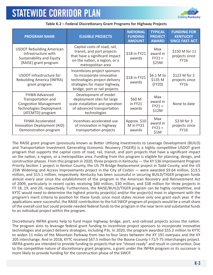

| <b>PROGRAM NAME</b>                                                                                                              | <b>ELIGIBLE PROJECTS</b>                                                                                                                                      | <b>NATIONAL</b><br><b>FUNDING</b><br><b>AMOUNT</b> | <b>TYPICAL</b><br><b>PROJECT</b><br><b>AWARD</b> | <b>FUNDING FOR</b><br><b>KENTUCKY</b><br><b>SINCE FAST ACT</b> |
|----------------------------------------------------------------------------------------------------------------------------------|---------------------------------------------------------------------------------------------------------------------------------------------------------------|----------------------------------------------------|--------------------------------------------------|----------------------------------------------------------------|
| <b>USDOT Rebuilding American</b><br>Infrastructure with<br>Sustainability and Equity<br>(RAISE) grant program                    | Capital costs of road, rail,<br>transit, and port projects<br>that have a significant impact<br>on the nation, a region, or a<br>metropolitan area            | \$1B in FY21<br>awards                             | Max<br>award in<br>$FY21 =$<br>\$25M             | \$150 M for 11<br>projects since<br><b>FY16</b>                |
| USDOT Infrastructure for<br>Rebuilding America (INFRA)<br>grant program                                                          | Incentivizes project sponsors<br>to incorporate innovative<br>technologies project delivery<br>strategies for major highway,<br>bridge, port or rail projects | \$1B in FY21<br>awards                             | \$6.1 M to<br>\$135 M<br>(FY20)                  | $$123$ M for 2<br>projects since<br><b>FY16</b>                |
| <b>FHWA Advanced</b><br>Transportation and<br><b>Congestion Management</b><br><b>Technologies Deployment</b><br>(ATCMTD) program | Development of model<br>deployment sites for large<br>scale installation and operation<br>of advanced transportation<br>technologies                          | \$60 M<br>in FY21<br>awards                        | Max<br>award in<br>$FY21 =$<br>\$12M             | None to date                                                   |
| <b>FHWA Accelerated</b><br>Innovation Deployment (AID)<br>Demonstration program                                                  | Incentives accelerated use<br>of innovation in highway<br>transportation projects                                                                             | Approx. \$10<br>M in FY21<br>awards                | Max<br>award in<br>$FY21 =$<br>\$1M              | \$3 M for 3<br>projects since<br><b>FY16</b>                   |

The RAISE grant program (previously known as Better Utilizing Investments to Leverage Development (BUILD) and Transportation Investment Generating Economic Recovery (TIGER)) is a highly competitive USDOT grant program that supports the capital costs of road, rail, transit, and port projects that have a significant impact on the nation, a region, or a metropolitan area. Funding from this program is eligible for planning, design, and construction phases. From this program in 2020, three projects in Kentucky — the KY 536 Improvement Program Priority Section 1 project in Kenton County, the US 79 Bridge Replacement project in Todd County, and the US 25W Widening and Access Improvements project in the City of Corbin — were awarded \$9.64 million, \$13.5 million, and \$15.1 million, respectively. Kentucky has been successful in securing BUILD/TIGER program funds almost every year since the establishment of the program in the American Recovery and Reinvestment Act of 2009, particularly in recent cycles receiving \$60 million, \$30 million, and \$38 million for three projects in FY 18, 19, and 20, respectively. Furthermore, the RAISE/BUILD/TIGER program can be highly competitive, and KYTC would need to determine the highest priority project(s) and/or the project(s) most in alignment with the program's merit criteria to position for these funds since most states receive only one grant each year. If the applications were successful, the RAISE contribution to the full SWCP program of projects would be a small share of the overall cost but could provide needed federal funds to the program in the near term and substantial funds to an individual project within the program.

Discretionary INFRA grants help to fund major highway, bridge, port, and railroad projects across the nation. The program aims to leverage federal grant funding to incentivize project sponsors to incorporate innovative technologies and project delivery strategies, including P3s. In 2020, the program awarded \$55.2 million to KYTC to widen 11 miles of the Mountain Parkway from two to four lanes between the KY 191 overpass and the KY 205 interchange. And in 2018, KYTC received \$67.5 million for the Boone County I-71/I-75 Interchanges project. INFRA grants are intended to provide funding to projects that are "shovel ready" and result in construction. Due to the competitive nature of discretionary grant programs, a grant under the INFRA program or its successor is more likely to provide funding for the construction phase of the SWCP.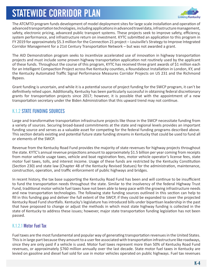

The ATCMTD program funds development of model deployment sites for large scale installation and operation of advanced transportation technologies, including applications in advanced travel data, infrastructure management, safety, electronic pricing, advanced public transport systems. These projects seek to improve safety, efficiency, system performance, and infrastructure return on investment. KYTC submitted an application to this program in FY 2019 for approximately \$5.3 million for the Connection 21 project – Louisville's Strategy to Improve Integrated Corridor Management for a 21st Century Transportation Network – but was not awarded a grant.

The AID Demonstration program seeks to incentivize accelerated use of innovation in highway transportation projects and must include some proven highway transportation application not routinely used by the applicant of these funds. Throughout the course of this program, KYTC has received three grant awards of \$1 million each for an Intelligent Compaction Project across five Kentucky counties, a Roundabout Installation in London, KY, and the Kentucky Automated Traffic Signal Performance Measures Corridor Projects on US 231 and the Richmond Bypass.

Grant funding is uncertain, and while it is a potential source of project funding for the SWCP program, it can't be definitively relied upon. Additionally, Kentucky has been particularly successful in obtaining federal discretionary grants for transportation projects since 2017; however, it is possible that with the appointment of a new transportation secretary under the Biden Administration that this upward trend may not continue.

### K.1.2 STATE FUNDING SOURCES

Large and transformative transportation infrastructure projects like those in the SWCP necessitate funding from a variety of sources. Securing broad-based commitments at the state and regional levels provides an important funding source and serves as a valuable asset for competing for the federal funding programs described above. This section details existing and potential future state funding streams in Kentucky that could be used to fund all or elements of the SWCP.

Revenue from the Kentucky Road Fund provides the majority of state revenues for highway projects throughout the state. KYTC's annual revenue projections amount to approximately \$1.5 billion per year coming from receipts from motor vehicle usage taxes, vehicle and boat registration fees, motor vehicle operator's license fees, state motor fuel taxes, tolls, and interest income. Usage of these funds are restricted by the Kentucky Constitution (Section 230) and state law (Chapter 48 of the Kentucky Revised Statues) for the administration, maintenance, construction, operation, and traffic enforcement of public highways and bridges.

In recent history, the tax base supporting the Kentucky Road Fund has been and will continue to be insufficient to fund the transportation needs throughout the state. Similar to the insolvency of the federal Highway Trust Fund, traditional motor vehicle fuel taxes have not been able to keep pace with the growing infrastructure needs and new transportation technologies. The following state funding sources outlined in this section can help to fill in this funding gap and deliver the full extent of the SWCP, if they could be expanded to cover the projected Kentucky Road Fund shortfalls. Kentucky's legislature has introduced bills under bipartisan leadership in the past that have proposed to change or adjust the methods in which most state highway funding is collected in the state of Kentucky to address these issues; however, major state transportation funding legislation has not been passed.

### K.1.2.1 Motor Fuel Tax

Fuel taxes are the most fundamental and popular way of generating transportation revenues in the United States. This is in large part because they amount to a user fee associated with transportation infrastructure like roadways, since they are only paid if a vehicle is used. Motor fuel taxes represent more than 50% of Kentucky Road Fund revenues, or approximately \$760 million annually over the last decade. State motor fuel taxes in Kentucky are levied on gasoline and diesel fuel sold for use in motor vehicles operated on public highways. Fuel tax revenues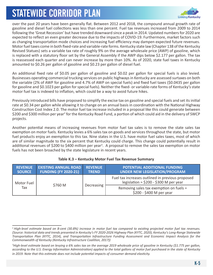

over the past 20 years have been generally flat. Between 2012 and 2018, the compound annual growth rate of gasoline and diesel fuel collections was less than one percent. Fuel tax revenues increased from 2009 to 2014 following the 'Great Recession' but have trended downward since a peak in 2014. Updated numbers for 2020 are expected to reflect an even greater decrease due to the impacts of COVID-19. Furthermore, market factors such as changing transportation mode choices and increasing fuel efficiency may dampen expected future revenues. Motor fuel taxes come in both fixed-rate and variable-rate forms. Kentucky state law (Chapter 138 of the Kentucky Revised Statues) sets a variable tax rate of roughly 9% on the average wholesale price (AWP) of gasoline, which is replaced with a statutory floor set by the General Assembly if the AWP dips below \$2.177 per gallon. The tax is reassessed each quarter and can never increase by more than 10%. As of 2020, state fuel taxes in Kentucky amounted to \$0.26 per gallon of gasoline and \$0.23 per gallon of diesel fuel.

An additional fixed rate of \$0.05 per gallon of gasoline and \$0.02 per gallon for special fuels is also levied. Businesses operating commercial trucking services on public highways in Kentucky are assessed surtaxes on both the variable (2% of AWP for gasoline and 4.7% of AWP on special fuels) and fixed fuel taxes (\$0.0435 per gallon for gasoline and \$0.1023 per gallon for special fuels). Neither the fixed- or variable-rate forms of Kentucky's state motor fuel tax is indexed to inflation, which could be a way to avoid future hikes.

Previously introduced bills have proposed to simplify the excise tax on gasoline and special fuels and set its initial rate at \$0.34 per gallon while allowing it to change on an annual basis in coordination with the National Highway Construction Cost Index 2.0. The motor fuel tax increase included in a proposal like this could generate between \$200 and \$300 million per year<sup>2</sup> for the Kentucky Road Fund, a portion of which could aid in the delivery of SWCP projects.

Another potential means of increasing revenues from motor fuel tax sales is to remove the state sales tax exemption on motor fuels. Kentucky levies a 6% sales tax on goods and services throughout the state, but motor fuel products enjoy an exemption to this tax. Nine states in the U.S. have motor fuel sales taxes, most of which are of similar magnitude to the six percent that Kentucky could charge. This change could potentially result in additional revenues of \$200 to \$400 million per year<sup>3</sup>. A proposal to remove the sales tax exemption on motor fuels has not been broached by the state legislature in recent years.

| <b>REVENUE</b><br><b>SOURCE</b> | <b>EXISTING ANNUAL ROAD</b><br><b>FUNDING (FY 2020-21)</b> | <b>REVENUE</b><br><b>TREND</b> | POTENTIAL ADDITIONAL FUNDING<br><b>UNDER NEW LEGISLATION/PROGRAM</b>                       |
|---------------------------------|------------------------------------------------------------|--------------------------------|--------------------------------------------------------------------------------------------|
| Motor Fuel<br>Tax               | \$760 M                                                    | Decreasing                     | Fuel tax increases outlined in previous proposed<br>legislation = $$200 - $300$ M per year |
|                                 |                                                            |                                | Removing sales tax exemption on fuels =<br>\$200 - \$400 M per year                        |

#### **Table K.3 – Kentucky Motor Fuel Tax Revenue Summary**

<sup>2</sup>*High-level estimate based on 8-cent (30.8%) increase in motor fuel tax compared to existing projected motor fuel tax revenues. (Source: historical data and trends presented in Kentucky's FY 2020-2026 Highway Plan (KYTC, 2020), Kentucky's Long-Range Statewide Transportation Plan (KYTC, 2014), and Transportation Infrastructure Funding Assessment and Economic Impact Analysis for the Commonwealth of Kentucky (Kentucky Infrastructure Coalition, 2017))*

*<sup>3</sup> High-level estimate based on levying a 6% sales tax on the average 2019 wholesale price of gasoline in Kentucky (\$1.775 per gallon, according to the U.S. Energy Information Administration) applied to the total gallons of motor fuel purchased in the state of Kentucky in 2019. Note that this estimate does not include potential impacts of consumer demand elasticity.*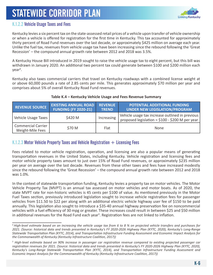

### K.1.2.2 Vehicle Usage Taxes and Fees

Kentucky levies a six percent tax on the state-assessed retail prices of a vehicle upon transfer of vehicle ownership or when a vehicle is offered for registration for the first time in Kentucky. This tax accounted for approximately thirty percent of Road Fund revenues over the last decade, or approximately \$425 million on average each year. Unlike the fuel tax, revenues from vehicle usage tax have been increasing since the rebound following the 'Great Recession' – the compound annual growth rate between 2012 and 2018 was 3.5%.

A Kentucky House Bill introduced in 2019 sought to raise the vehicle usage tax to eight percent, but this bill was withdrawn in January 2020. An additional two percent tax could generate between \$100 and \$200 million each year<sup>4</sup>.

Kentucky also taxes commercial carriers that travel on Kentucky roadways with a combined license weight at or above 60,000 pounds a rate of 2.85 cents per mile. This generates approximately \$70 million per year and comprises about 5% of overall Kentucky Road Fund revenues.

| REVENUE SOURCE                                | <b>EXISTING ANNUAL ROAD</b><br><b>FUNDING (FY 2020-21)</b> | <b>REVENUE</b><br><b>TREND</b> | <b>POTENTIAL ADDITIONAL FUNDING</b><br>UNDER NEW LEGISLATION/PROGRAM                               |
|-----------------------------------------------|------------------------------------------------------------|--------------------------------|----------------------------------------------------------------------------------------------------|
| Vehicle Usage Taxes                           | \$420 M                                                    | Increasing                     | Vehicle usage tax increase outlined in previous<br>proposed legislation = $$100 - $200$ M per year |
| <b>Commercial Carrier</b><br>Weight-Mile Fees | \$70 M                                                     | Flat                           | <b>None</b>                                                                                        |

#### **Table K.4 – Kentucky Vehicle Usage and Fees Revenue Summary**

### K.1.2.3 Motor Vehicle Property Taxes and Vehicle Registration  $+$  Licensing Fees

Fees related to motor vehicle registration, operation, and licensing are also a popular means of generating transportation revenues in the United States, including Kentucky. Vehicle registration and licensing fees and motor vehicle property taxes amount to just over 15% of Road Fund revenues, or approximately \$235 million per year on average over the last decade. Revenues from these other taxes and fees have increased modestly since the rebound following the 'Great Recession' – the compound annual growth rate between 2012 and 2018 was 1.0%.

In the context of statewide transportation funding, Kentucky levies a property tax on motor vehicles. The Motor Vehicle Property Tax (MVPT) is an annual tax assessed on motor vehicles and motor boats. As of 2020, the state MVPT rate for non-historic vehicles is 45 cents per \$100 of value. As mentioned previously in the Motor Fuel Taxes section, previously introduced legislation sought to increase vehicle registration fees for passenger vehicles from \$11.50 to \$22 per along with an additional electric vehicle highway user fee of \$150 to be paid annually. This legislation also sought to introduce a \$35-40 annual highway preservation fee on noncommercial vehicles with a fuel efficiency of 30 mpg or greater. These increases could result in between \$25 and \$50 million in additional revenues for the Road Fund each year<sup>5</sup>. Registration fees are not linked to inflation.

<sup>4</sup>*High-level estimate based on an increasing the vehicle usage tax from 6 to 8 % on projected vehicle transfers and purchases for 2021. (Source: historical data and trends presented in Kentucky's FY 2020-2026 Highway Plan (KYTC, 2020), Kentucky's Long-Range Statewide Transportation Plan (KYTC, 2014), and Transportation Infrastructure Funding Assessment and Economic Impact Analysis for the Commonwealth of Kentucky (Kentucky Infrastructure Coalition, 2017))*

*<sup>5</sup> High-level estimate based on 90% increase in passenger car registration revenue compared to existing projected passenger car registration revenues for 2021. (Source: historical data and trends presented in Kentucky's FY 2020-2026 Highway Plan (KYTC, 2020), Kentucky's Long-Range Statewide Transportation Plan (KYTC, 2014), and Transportation Infrastructure Funding Assessment and Economic Impact Analysis for the Commonwealth of Kentucky (Kentucky Infrastructure Coalition, 2017))*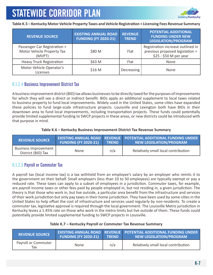

**Table K.5 – Kentucky Motor Vehicle Property Taxes and Vehicle Registration + Licensing Fees Revenue Summary**

| <b>REVENUE SOURCE</b>                                                | <b>EXISTING ANNUAL ROAD</b><br><b>FUNDING (FY 2020-21)</b> | <b>REVENUE</b><br><b>TREND</b> | <b>POTENTIAL ADDITIONAL</b><br><b>FUNDING UNDER NEW</b><br><b>LEGISLATION/PROGRAM</b>          |
|----------------------------------------------------------------------|------------------------------------------------------------|--------------------------------|------------------------------------------------------------------------------------------------|
| Passenger Car Registration +<br>Motor Vehicle Property Tax<br>(MVPT) | \$80 M                                                     | Flat                           | Registration increase outlined in<br>previous proposed legislation =<br>\$25 - \$50 M per year |
| <b>Heavy Truck Registration</b>                                      | \$63 M                                                     | Flat                           | None                                                                                           |
| Motor Vehicle Operator's<br>Licenses                                 | \$16 M                                                     | Decreasing                     | None                                                                                           |

### K.1.2.4 Business Improvement District Tax

A business improvement district (BID) tax allows businesses to be directly taxed for the purposes of improvements for which they will see a direct or indirect benefit. BIDs apply an additional supplement to local taxes related to business property to fund local improvements. Widely used in the United States, some cities have expanded these policies to fund large-scale infrastructure projects. Louisville and Lexington both have BIDs in their downtown area to fund local improvements, including transportation projects. These funds could potentially provide limited supplemental funding to SWCP projects in these areas, or new districts could be introduced with that purpose in mind.

#### **Table K.6 – Kentucky Business Improvement District Tax Revenue Summary**

| <b>REVENUE SOURCE</b>                        | <b>FUNDING (FY 2020-21)</b> | <b>TREND</b> | <b>EXISTING ANNUAL ROAD REVENUE POTENTIAL ADDITIONAL FUNDING UNDER</b><br>NEW LEGISLATION/PROGRAM |
|----------------------------------------------|-----------------------------|--------------|---------------------------------------------------------------------------------------------------|
| Business Improvement  <br>District (BID) Tax | <b>None</b>                 | n/a          | Relatively small local contribution                                                               |

### K.1.2.5 Payroll or Commuter Tax

A payroll tax (local income tax) is a tax withheld from an employee's salary by an employer who remits it to the government on their behalf. Small employers (less than 10 to 50 employees) are typically exempt or pay a reduced rate. These taxes can apply to a subset of employees in a jurisdiction. Commuter taxes, for example, are payroll income taxes or other fees paid by people employed in, but not residing in, a given jurisdiction. The theory is that those who work in, but live outside, a particular area benefit from the infrastructure and services of their work jurisdiction but only pay taxes in their home jurisdiction. They have been used by some cities in the United States to help offset the cost of infrastructure and services used regularly by non-residents. To create a commuter tax, legislative approval is required through the local government. The Louisville Metro jurisdiction in Kentucky levies a 1.45% rate on those who work in the metro limits but live outside of them. These funds could potentially provide limited supplemental funding to SWCP projects in Louisville.

| <b>REVENUE SOURCE</b>      | <b>FUNDING (FY 2020-21)</b> | <b>TREND</b> | <b>EXISTING ANNUAL ROAD REVENUE POTENTIAL ADDITIONAL FUNDING UNDER</b><br>NEW LEGISLATION/PROGRAM |
|----------------------------|-----------------------------|--------------|---------------------------------------------------------------------------------------------------|
| Payroll or Commuter<br>Тах | <b>None</b>                 | n/a          | Relatively small local contribution                                                               |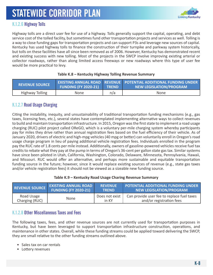

### K.1.2.6 Highway Tolls

Highway tolls are a direct user fee for use of a highway. Tolls generally support the capital, operating, and debt service cost of the tolled facility, but sometimes fund other transportation projects and services as well. Tolling is a way to close funding gaps for transportation projects and can support P3s and leverage new sources of capital. Kentucky has used highway tolls to finance the construction of their turnpike and parkway system historically, but tolls on these facilities have all since been removed as of 2006. However, Kentucky has demonstrated recent and existing success with new tolling. Most of the projects in the SWCP involve improving existing arterial or collector roadways, rather than along limited access freeways or new roadways where this type of user fee would be more practical to levy.

| <b>REVENUE SOURCE</b>  | <b>FUNDING (FY 2020-21)</b> | <b>TREND</b> | EXISTING ANNUAL ROAD   REVENUE   POTENTIAL ADDITIONAL FUNDING UNDER  <br><b>NEW LEGISLATION/PROGRAM</b> |
|------------------------|-----------------------------|--------------|---------------------------------------------------------------------------------------------------------|
| <b>Highway Tolling</b> | None                        | n/a          | <b>None</b>                                                                                             |

#### **Table K.8 – Kentucky Highway Tolling Revenue Summary**

### K.1.2.7 Road Usage Charging

Citing the instability, inequity, and unsustainability of traditional transportation funding mechanisms (e.g., gas taxes, licensing fees, etc.), several states have contemplated implementing alternative ways to collect revenues to build and maintain transportation infrastructure. In 2015, Oregon was the first state to implement a road usage charging (RUC) pilot project called OReGO, which is a voluntary per-mile charging system whereby participants pay for miles they drive rather than annual registration fees based on the fuel efficiency of their vehicle. As of January 2020, drivers of electric and high-mpg vehicles (40 mpg or better) can voluntarily enroll in Oregon's road usage charge program in lieu of paying additional vehicle registration fees. Individuals enrolled in the program pay the RUC rate of 1.8 cents per mile instead. Additionally, owners of gasoline-powered vehicles receive fuel tax credits to rebate what they pay at the pump in terms of Oregon's 36-cent per gallon state gas tax. Similar systems have since been piloted in Utah, California, Washington, Colorado, Delaware, Minnesota, Pennsylvania, Hawaii, and Missouri. RUC would offer an alternative, and perhaps more sustainable and equitable transportation funding source in the future; however, since it would replace existing sources of revenue (e.g., state gas taxes and/or vehicle registration fees) it should not be viewed as a sizeable new funding source.

#### **Table K.9 – Kentucky Road Usage Charing Revenue Summary**

| <b>REVENUE SOURCE</b> | <b>EXISTING ANNUAL ROAD</b> | <b>REVENUE</b> | <b>POTENTIAL ADDITIONAL FUNDING UNDER</b>  |
|-----------------------|-----------------------------|----------------|--------------------------------------------|
|                       | <b>FUNDING (FY 2020-21)</b> | <b>TREND</b>   | <b>NEW LEGISLATION/PROGRAM</b>             |
| Road Usage            | <b>None</b>                 | Does not exist | Can provide user fee to replace fuel taxes |
| Charging (RUC)        |                             | in KY          | and/or registration fees                   |

### K.1.2.8 Other Miscellaneous Taxes and Fees

The following taxes, fees, and other revenue sources are not currently used for transportation purposes in Kentucky, but have been leveraged to support transportation infrastructure construction, operations, and maintenance in other states. Overall, while these funding streams could be applied toward delivering the SWCP, they are small relative to the other funding streams outlined above.

- Sales tax on car rentals
- Lottery revenues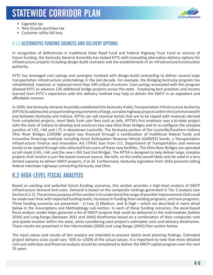

- Cigarette tax
- New bicycle purchase tax
- Customer utility bill levy

### K.1.3 ALTERNATIVE FUNDING SOURCES AND DELIVERY OPTIONS

In recognition of deficiencies in traditional State Road Fund and Federal Highway Trust Fund as sources of future funding, the Kentucky General Assembly has tasked KYTC with evaluating alternative delivery options for infrastructure projects including design-build contracts and the establishment of an infrastructure/construction authority.

KYTC has leveraged cost savings and synergies involved with design-build contracting to deliver several large transportation infrastructure undertakings in the last decade. For example, the Bridging Kentucky program has rehabilitated, repaired, or replaced more than 240 critical structures. Cost savings associated with this program allowed KYTC to advance 120 additional bridge projects across the state. Employing best practices and lessons learned from KYTC's experience with this delivery method may help to deliver the SWCP in an expedient and affordable manner.

In 2009, the Kentucky General Assembly established the Kentucky Public Transportation Infrastructure Authority (KPTIA) to address the unique funding requirements of large, complex highway projects within the Commonwealth and between Kentucky and Indiana. KPTIA can sell revenue bonds that are to be repaid with revenues derived from completed projects, most likely from user fees such as tolls. KPTIA's first endeavor was a bi-state project with the state of Indiana to develop and construct two new Ohio River bridges and to re-configure the complex junction of I-65, I-64 and I-71 in downtown Louisville. The Kentucky portion of the Louisville/Southern Indiana Ohio River Bridges (LSIORB) project was financed through a combination of traditional federal funds and innovative financing methods including Grant Anticipation Revenue Vehicle (GARVEE) bonds, a Transportation Infrastructure Finance and Innovation Act (TIFIA) loan from U.S. Department of Transportation and revenue bonds to be repaid through tolls collected from users of these new facilities. The Ohio River Bridges are operated as toll roads (I-65, I-64, and the new I-265 East End Bridge). The KPTIA is designed to help deliver large, complex projects that involve a user fee-based revenue source, like tolls, so this entity would likely only be used in a very limited capacity to deliver SWCP projects, if at all. Furthermore, Kentucky legislation from 2016 prevents tolling federal interstate highways connecting Kentucky and Ohio.

### K.2 HIGH-LEVEL FISCAL ANALYSIS

Based on existing and potential future funding scenarios, this section provides a high-level analysis of SWCP infrastructure demand and costs. Demand is based on the composite rankings generated in Tier 2 analysis (see Section 6.5.2). The primary purpose of this section is to understand the range of possible improvements that could be made over time with expected funding levels, increases in funding from existing programs, and new programs. Three funding scenarios are presented – 1) Low, 2) Medium, and 3) High – which are described in more detail below in the Assumptions and Methodology sub-section. In each of these funding scenarios, the excel-based fiscal analysis model helps generate a list of SWCP projects that could be delivered in the Intermediate (before 2030) and Long-Range (between 2031 and 2045) timeframes based on a combination of their composite rank and spatial location within the state, while considering each project's estimated costs and delivery timeframes. These results are presented in the Intermediate (2030) and Long-Range (2045) Plan section below.

The input values and results of this analysis are intended to present sketch-level planning findings. Estimated project delivery costs could vary -50% to +250% of the actual values. It is important to note that more detailed civil cost estimates and financial analysis should be completed to deliver the SWCP capital program over the next 25 years.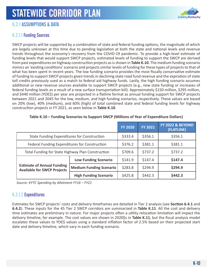

### K.2.1 ASSUMPTIONS & DATA

### K.2.1.1 Funding Sources

SWCP projects will be supported by a combination of state and federal funding options, the magnitude of which are largely unknown at this time due to pending legislation at both the state and national levels and revenue trends throughout the economy's recovery from the COVID-19 pandemic. To provide a high-level estimate of funding levels that would support SWCP projects, estimated levels of funding to support the SWCP are derived from past expenditures on highway construction projects as is shown in **Table K.10**. The medium funding scenario mimics an 'existing conditions' scenario and projects similar levels of funding for these types of projects to that of what has been spent in recent years. The low funding scenario provides the most fiscally conservative estimate of funding to support SWCP projects given trends in declining state road fund revenue and the expiration of state toll credits previously used as a match to federal aid highway funds. Lastly, the high funding scenario assumes additional or new revenue sources available to support SWCP projects (e.g., new state funding or increases of federal funding levels as a result of a new surface transportation bill). Approximately \$150 million, \$295 million, and \$440 million (YOE\$) per year are projected in a flatline format as annual funding support for SWCP projects between 2021 and 2045 for the low, medium, and high funding scenarios, respectively. These values are based on 20% (low), 40% (medium), and 60% (high) of total combined state and federal funding levels for highway construction projects in FY 2021, as seen below in **Table K.10**.

|                                                                         |                                | <b>FY 2020</b> | <b>FY 2021</b> | <b>FY 2022 &amp; BEYOND</b><br>(FLATLINE) |         |         |
|-------------------------------------------------------------------------|--------------------------------|----------------|----------------|-------------------------------------------|---------|---------|
| State Funding Expenditures for Construction                             |                                |                |                | \$333.4                                   | \$356.1 | \$356.1 |
| Federal Funding Expenditures for Construction                           |                                | \$376.2        | \$381.1        | \$381.1                                   |         |         |
| Total Funding for State Highway Plan Construction                       |                                | \$709.6        | \$737.2        | \$737.2                                   |         |         |
|                                                                         | <b>Low Funding Scenario</b>    | \$141.9        | \$147.4        | \$147.4                                   |         |         |
| <b>Estimate of Annual Funding</b><br><b>Available for SWCP Projects</b> | <b>Medium Funding Scenario</b> | \$283.8        | \$294.9        | \$294.9                                   |         |         |
|                                                                         | <b>High Funding Scenario</b>   | \$425.8        | \$442.3        | \$442.3                                   |         |         |

#### **Table K.10 – Funding Scenarios to Support SWCP (Millions of Year of Expenditure Dollars)**

 *Source: KYTC Spending by Allotment FY16 – FY21*

### K.2.1.2 Expenditures

Estimates for SWCP projects' costs and delivery timeframes are detailed in Tier 2 analysis (see **Section 6.4.1** and **6.4.2**). These inputs for the 45 Tier 2 SWCP corridors are summarized in **Table K.11**. All the cost and delivery time estimates are preliminary in nature. For major projects often a utility relocation limitation will impact the delivery timeline, for example. The cost values are shown in 2020\$s in **Table K.11**, but the fiscal analysis model escalates these values to YOE\$ values using a standard inflation factor of 2.5% based on their projected start date and delivery timeline, which vary in each funding scenario.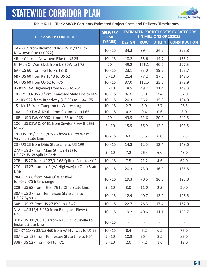

#### **Table K.11 – Tier 2 SWCP Corridors Estimated Project Costs and Delivery Timeframes**

| <b>TIER 2 SWCP CORRIDORS</b>                                          | <b>DELIVERY</b><br><b>TIME</b> | <b>ESTIMATED PROJECT COSTS BY CATEGORY</b><br>(IN MILLIONS OF 2020\$S) |            |                |                     |  |  |
|-----------------------------------------------------------------------|--------------------------------|------------------------------------------------------------------------|------------|----------------|---------------------|--|--|
|                                                                       | (YEARS)                        | <b>DESIGN</b>                                                          | <b>ROW</b> | <b>UTILITY</b> | <b>CONSTRUCTION</b> |  |  |
| 4A - KY 4 from Richmond Rd (US 25/421) to<br>Newtown Pike (KY 922)    | $10 - 15$                      | 34.3                                                                   | 99.4       | 24.2           | 223.8               |  |  |
| 4B - KY 4 from Newtown Pike to US 25                                  | $10 - 15$                      | 18.2                                                                   | 63.6       | 14.7           | 136.2               |  |  |
| 5 - Man O' War Blvd. from US 60W to I-75                              | 20                             | 49.2                                                                   | 176.1      | 40.7           | 327.5               |  |  |
| 6A - US 60 from I-64 to KY 1848                                       | $10 - 15$                      | 23.1                                                                   | 83.0       | 19.2           | 153.7               |  |  |
| 6B - US 60 from KY 1848 to US 62                                      | $5 - 10$                       | 21.4                                                                   | 77.2       | 17.8           | 142.5               |  |  |
| 6C - US 60 from US 62 to I-75                                         | $10 - 15$                      | 37.0                                                                   | 112.5      | 25.6           | 273.9               |  |  |
| 9 - KY 9 (AA Highway) from I-275 to I-64                              | $5 - 10$                       | 18.5                                                                   | 49.7       | 11.4           | 149.3               |  |  |
| 10 - KY 100/US 79 from Tennessee State Line to I-65                   | $10 - 15$                      | 6.3                                                                    | 3.8        | 3.4            | 37.0                |  |  |
| 12 - KY 922 from Broadway (US 68) to I-64/I-75                        | $10 - 15$                      | 20.3                                                                   | 66.2       | 15.8           | 134.0               |  |  |
| 15 - KY 15 from Campton to Whitesburg                                 | $10 - 15$                      | 2.7                                                                    | 3.9        | 2.7            | 26.5                |  |  |
| 18A - US 31W & KY 61 from Columbia to I-65                            | $10 - 15$                      | 0.2                                                                    | 0.4        | 0.6            | 8.0                 |  |  |
| 18B - US 31W/KY 9001 from I-65 to I-265                               | 20                             | 43.5                                                                   | 32.6       | 20.9           | 249.5               |  |  |
| 18C - US 31W & KY 61 from Snyder Frwy (I-265)<br>to I-64              | $5 - 10$                       | 15.5                                                                   | 56.9       | 12.9           | 103.5               |  |  |
| 19 - US 199/US 25E/US 23 from I-75 to West<br>Virginia State Line     | $10 - 15$                      | 6.0                                                                    | 8.5        | 6.0            | 59.5                |  |  |
| 23 - US 23 from Ohio State Line to US 199                             | $10 - 15$                      | 14.3                                                                   | 12.5       | 12.4           | 149.6               |  |  |
| 27A - US 27 from Main St. (US 421) to<br>US 27/US 68 Split in Paris   | $5 - 10$                       | 7.2                                                                    | 26.4       | 6.0            | 48.0                |  |  |
| 27B - US 27 from US 27/US 68 Split in Paris to KY 9                   | $10 - 15$                      | 7.5                                                                    | 21.2       | 4.6            | 62.0                |  |  |
| 27C - US 27 from KY 9 (AA Highway) to Ohio State<br>Line              | $10 - 15$                      | 20.3                                                                   | 73.0       | 16.9           | 135.5               |  |  |
| 28A - US 68 from Man O' War Blvd.<br>to I-54/I-75 Interchange         | $10 - 15$                      | 19.3                                                                   | 70.5       | 16.5           | 128.8               |  |  |
| 28B - US 68 from I-64/I-75 to Ohio State Line                         | $5 - 10$                       | 3.0                                                                    | 11.0       | 2.5            | 20.0                |  |  |
| 30A - US 27 from Tennessee State Line to<br>US 27 Bypass              | $10 - 15$                      | 12.9                                                                   | 40.7       | 13.2           | 128.5               |  |  |
| 30B - US 27 from US 27 BYP to US 421                                  | $10 - 15$                      | 22.7                                                                   | 76.3       | 17.4           | 162.0               |  |  |
| 31A - US 31E/US 150 from Bluegrass Pkwy to<br>$I-265$                 | $10 - 15$                      | 19.2                                                                   | 40.6       | 11.1           | 165.7               |  |  |
| 31B - US 31E/US 150 from I-265 in Louisville to<br>Indiana State Line | $10 - 15$                      |                                                                        |            |                |                     |  |  |
| 32 - KY 11/KY 32/US 460 from AA Highway to US 23                      | $10 - 15$                      | 8.4                                                                    | 7.2        | 6.5            | 77.0                |  |  |
| 33A - US 127 from Tennessee State Line to I-64                        | $5 - 10$                       | 10.9                                                                   | 36.4       | 8.5            | 83.0                |  |  |
| 33B - US 127 from I-64 to I-71                                        | $5 - 10$                       | 2.0                                                                    | 7.2        | 1.6            | 13.0                |  |  |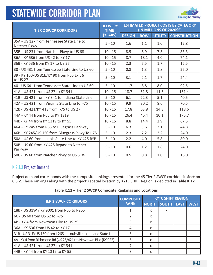

| <b>TIER 2 SWCP CORRIDORS</b>                              | <b>DELIVERY</b><br><b>TIME</b> | <b>ESTIMATED PROJECT COSTS BY CATEGORY</b><br>(IN MILLIONS OF 2020\$S) |            |                |                     |  |
|-----------------------------------------------------------|--------------------------------|------------------------------------------------------------------------|------------|----------------|---------------------|--|
|                                                           | (YEARS)                        | <b>DESIGN</b>                                                          | <b>ROW</b> | <b>UTILITY</b> | <b>CONSTRUCTION</b> |  |
| 35A - US 127 from Tennessee State Line to<br>Natcher Pkwy | $5 - 10$                       | 1.6                                                                    | 1.1        | 1.0            | 12.8                |  |
| 35B - US 231 from Natcher Pkwy to US 68                   | $10 - 15$                      | 8.5                                                                    | 8.9        | 7.3            | 83.3                |  |
| 36A - KY 536 from US 42 to KY 17                          | $10 - 15$                      | 8.7                                                                    | 18.1       | 4.0            | 74.1                |  |
| 36B - KY 536 from KY 17 to US 27                          | $10 - 15$                      | 2.3                                                                    | 7.5        | 1.7            | 15.5                |  |
| 38 - US 431 from Tennessee State Line to US 60            | $5 - 10$                       | 0.8                                                                    | 1.3        | 1.8            | 26.0                |  |
| 39 - KY 100/US 31E/KY 90 from I-65 Exit 6<br>to US 27     | $5 - 10$                       | 3.1                                                                    | 2.1        | 1.7            | 24.4                |  |
| 40 - US 641 from Tennessee State Line to US 60            | $5 - 10$                       | 11.7                                                                   | 8.8        | 8.0            | 92.5                |  |
| 41A - US 421 from US 27 to KY 341                         | $10 - 15$                      | 18.7                                                                   | 51.8       | 11.5           | 151.4               |  |
| 41B - US 421 from KY 341 to Indiana State Line            | $5 - 10$                       | 6.1                                                                    | 22.3       | 5.1            | 40.5                |  |
| 42A - US 421 from Virginia State Line to I-75             | $10 - 15$                      | 9.9                                                                    | 30.2       | 8.6            | 70.5                |  |
| 42B - US 421/KY 418 from I-75 to US 27                    | $10 - 15$                      | 17.8                                                                   | 63.8       | 14.8           | 118.6               |  |
| 44A - KY 44 from I-65 to KY 1319                          | $10 - 15$                      | 26.4                                                                   | 46.4       | 10.1           | 175.7               |  |
| 44B - KY 44 from KY 1319 to KY 55                         | $10 - 15$                      | 8.8                                                                    | 14.4       | 2.9            | 67.5                |  |
| 46A - KY 245 from I-65 to Bluegrass Parkway               | $5 - 10$                       | 6.3                                                                    | 5.6        | 3.1            | 44.8                |  |
| 46B - KY 245/US 150 from Bluegrass Pkwy To I-75           | $5 - 10$                       | 2.3                                                                    | 7.2        | 2.2            | 24.0                |  |
| 50A - US 60 from Illinois State Line to KY 425 BYP        | $5 - 10$                       | 2.2                                                                    | 4.0        | 5.8            | 80.0                |  |
| 50B - US 60 from KY 425 Bypass to Natcher<br>Parkway      | $5 - 10$                       | 0.6                                                                    | 1.2        | 1.8            | 24.0                |  |
| 50C - US 60 from Natcher Pkwy to US 31W                   | $5 - 10$                       | 0.5                                                                    | 0.8        | 1.0            | 16.0                |  |

### K.2.1.3 Project Demand

Project demand corresponds with the composite rankings presented for the 45 Tier 2 SWCP corridors in **Section 6.5.2**. These rankings along with the project's spatial location by KYTC SHIFT Region is depicted in **Table K.12**.

|                                                                    | <b>COMPOSITE</b> | <b>KYTC SHIFT REGION</b> |       |             |             |  |
|--------------------------------------------------------------------|------------------|--------------------------|-------|-------------|-------------|--|
| <b>TIER 2 SWCP CORRIDORS</b>                                       | <b>RANK</b>      | <b>NORTH</b>             | SOUTH | <b>EAST</b> | <b>WEST</b> |  |
| 18B - US 31W / KY 9001 from I-65 to I-265                          |                  | x                        | x     |             |             |  |
| 6C - US 60 from US 62 to I-75                                      |                  | X                        |       |             |             |  |
| 4B - KY 4 from Newtown Pike to US 25                               |                  | x                        |       |             |             |  |
| 36A - KY 536 from US 42 to KY 17                                   |                  | x                        |       |             |             |  |
| 31B - US 31E/US 150 from I-265 in Louisville to Indiana State Line |                  | X                        |       |             |             |  |
| 4A - KY 4 from Richmond Rd (US 25/421) to Newtown Pike (KY 922)    | 6                | x                        |       |             |             |  |
| 41A - US 421 from US 27 to KY 341                                  |                  | x                        |       |             |             |  |
| 44B - KY 44 from KY 1319 to KY 55                                  | Я                | x                        |       |             |             |  |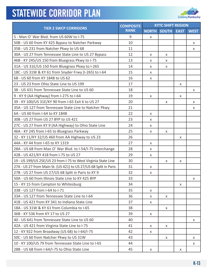

|                                                                  | <b>COMPOSITE</b> |    | <b>KYTC SHIFT REGION</b> |             |             |
|------------------------------------------------------------------|------------------|----|--------------------------|-------------|-------------|
| <b>TIER 2 SWCP CORRIDORS</b>                                     | <b>RANK</b>      |    | <b>NORTH SOUTH</b>       | <b>EAST</b> | <b>WEST</b> |
| 5 - Man O' War Blvd. from US 60W to I-75                         | 9                | X. |                          |             |             |
| 50B - US 60 from KY 425 Bypass to Natcher Parkway                | 10               |    |                          |             | X           |
| 35B - US 231 from Natcher Pkwy to US 68                          | 11               |    |                          |             | X           |
| 30A - US 27 from Tennessee State Line to US 27 Bypass            | 12               | X  | X                        |             |             |
| 46B - KY 245/US 150 from Bluegrass Pkwy to I-75                  | 13               | X  | X                        |             |             |
| 31A - US 31E/US 150 from Bluegrass Pkwy to I-265                 | 14               | X  | X                        |             |             |
| 18C - US 31W & KY 61 from Snyder Frwy (I-265) to I-64            | 15               | X  |                          |             |             |
| 6B - US 60 from KY 1848 to US 62                                 | 16               | X  |                          |             |             |
| 23 - US 23 from Ohio State Line to US 199                        | 17               |    |                          | X           |             |
| 38 - US 431 from Tennessee State Line to US 60                   | 18               |    |                          |             | X           |
| 9 - KY 9 (AA Highway) from I-275 to I-64                         | 19               | X  |                          | X           |             |
| 39 - KY 100/US 31E/KY 90 from I-65 Exit 6 to US 27               | 20               |    | X                        |             | X           |
| 35A - US 127 from Tennessee State Line to Natcher Pkwy           | 21               |    |                          |             | X           |
| 6A - US 60 from I-64 to KY 1848                                  | 22               | X  |                          |             |             |
| 30B - US 27 from US 27 BYP to US 421                             | 23               | X  |                          |             |             |
| 27C - US 27 from KY 9 (AA Highway) to Ohio State Line            | 24               | X  |                          |             |             |
| 46A - KY 245 from I-65 to Bluegrass Parkway                      | 25               | X  | X                        |             |             |
| 32 - KY 11/KY 32/US 460 from AA Highway to US 23                 | 26               |    |                          | X           |             |
| 44A - KY 44 from I-65 to KY 1319                                 | 27               | X  |                          |             |             |
| 28A - US 68 from Man O' War Blvd. to I-54/I-75 Interchange       | 28               | X  |                          |             |             |
| 42B - US 421/KY 418 from I-75 to US 27                           | 29               | X  |                          |             |             |
| 19 - US 199/US 25E/US 23 from I-75 to West Virginia State Line   | 30               |    | X                        | X           |             |
| 27A - US 27 from Main St. (US 421) to US 27/US 68 Split in Paris | 31               | X  |                          |             |             |
| 27B - US 27 from US 27/US 68 Split in Paris to KY 9              | 32               | X  |                          |             |             |
| 50A - US 60 from Illinois State Line to KY 425 BYP               | 33               |    |                          |             | X           |
| 15 - KY 15 from Campton to Whitesburg                            | 34               |    |                          | X           |             |
| 33B - US 127 from I-64 to I-71                                   | 35               | X. |                          |             |             |
| 33A - US 127 from Tennessee State Line to I-64                   | 36               | X. | X                        |             |             |
| 41B - US 421 from KY 341 to Indiana State Line                   | 37               | X  |                          |             |             |
| 18A - US 31W & KY 61 from Columbia to I-65                       | 38               |    | X                        |             |             |
| 36B - KY 536 from KY 17 to US 27                                 | 39               | X. |                          |             |             |
| 40 - US 641 from Tennessee State Line to US 60                   | 40               |    |                          |             | X           |
| 42A - US 421 from Virginia State Line to I-75                    | 41               | X. | X                        |             |             |
| 12 - KY 922 from Broadway (US 68) to I-64/I-75                   | 42               | X. |                          |             |             |
| 50C - US 60 from Natcher Pkwy to US 31W                          | 43               |    | X                        |             | X           |
| 10 - KY 100/US 79 from Tennessee State Line to I-65              | 44               |    |                          |             | X           |
| 28B - US 68 from I-64/I-75 to Ohio State Line                    | 45               | X  |                          | X           |             |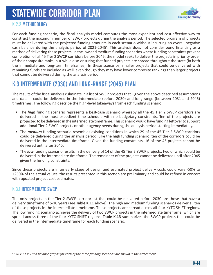

### K.2.2 METHODOLOGY

For each funding scenario, the fiscal analysis model computes the most expedient and cost-effective way to construct the maximum number of SWCP projects during the analysis period. The selected program of projects must be delivered with the projected funding amounts in each scenario without incurring an overall negative cash balance during the analysis period of 2021-2045<sup>6</sup>. This analysis does not consider bond financing as a method of delivering these projects. In the low and medium funding scenarios where funding constraints prevent completion of all 45 Tier 2 SWCP corridors before 2045, the model seeks to deliver the projects in priority order of their composite ranks, but while also ensuring that funded projects are spread throughout the state (in both the immediate and long-term timeframes). In these scenarios, smaller projects that could be delivered with remaining funds are included as well, even though they may have lower composite rankings than larger projects that cannot be delivered during the analysis period.

### K.3 INTERMEDIATE (2030) AND LONG-RANGE (2045) PLAN

The results of the fiscal analysis culminate in a list of SWCP projects that – given the above described assumptions and data -- could be delivered in the intermediate (before 2030) and long-range (between 2031 and 2045) timeframes. The following describe the high-level takeaways from each funding scenario:

- The *high* funding scenario represents a best-case scenario whereby all the 45 Tier 2 SWCP corridors are delivered in the most expedient time schedule with no budgetary constraints. Ten of the projects are projected to be delivered in the intermediate timeframe. This scenario would have funding leftover to support additional Tier 2 SWCP projects or other agency needs during the analysis period starting immediately.
- The *medium* funding scenario resembles existing conditions in which 29 of the 45 Tier 2 SWCP corridors could be delivered during the analysis period. Like the high funding scenario, ten of the corridors could be delivered in the intermediate timeframe. Given the funding constraints, 16 of the 45 projects cannot be delivered until after 2045.
- The *low* funding scenario results in the delivery of 14 of the 45 Tier 2 SWCP projects, two of which could be delivered in the intermediate timeframe. The remainder of the projects cannot be delivered until after 2045 given the funding constraints.

Since these projects are in an early stage of design and estimated project delivery costs could vary -50% to +250% of the actual values, the results presented in this section are preliminary and could be refined in concert with updated project cost estimates.

### K.3.1 INTERMEDIATE SWCP

The only projects in the Tier 2 SWCP corridor list that could be delivered before 2030 are those that have a delivery timeframe of 5-10 years (see **Table K.11** above). The high and medium funding scenarios deliver all ten of these projects in the intermediate timeframe. These projects are spread across all four KYTC SHIFT regions. The low funding scenario achieves the delivery of two SWCP projects in the intermediate timeframe, which are spread across three of the four KYTC SHIFT regions. **Table K.13** summarizes the SWCP projects that could be delivered in the intermediate timeframe for each funding scenario.

<sup>6</sup> *SWCP Cash Fund balance graphs for each of the three funding scenarios are shown in the Attachment.*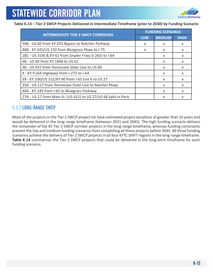

#### **Table K.13 – Tier 2 SWCP Projects Delivered in Intermediate Timeframe (prior to 2030) by Funding Scenario**

|                                                                  | <b>FUNDING SCENARIO:</b> |               |             |  |  |
|------------------------------------------------------------------|--------------------------|---------------|-------------|--|--|
| <b>INTERMEDIATE TIER 2 SWCP CORRIDORS</b>                        | <b>LOW</b>               | <b>MEDIUM</b> | <b>HIGH</b> |  |  |
| 50B - US 60 from KY 425 Bypass to Natcher Parkway                | X                        | X             | $\times$    |  |  |
| 46B - KY 245/US 150 from Bluegrass Pkwy to I-75                  | X                        | X             | X           |  |  |
| 18C - US 31W & KY 61 from Snyder Frwy (I-265) to I-64            |                          | X             | X           |  |  |
| 6B - US 60 from KY 1848 to US 62                                 |                          | X             | X           |  |  |
| 38 - US 431 from Tennessee State Line to US 60                   |                          | $\times$      | X           |  |  |
| 9 - KY 9 (AA Highway) from I-275 to I-64                         |                          | X             | X           |  |  |
| 39 - KY 100/US 31E/KY 90 from I-65 Exit 6 to US 27               |                          | $\times$      | $\times$    |  |  |
| 35A - US 127 from Tennessee State Line to Natcher Pkwy           |                          | X             | $\times$    |  |  |
| 46A - KY 245 from I-65 to Bluegrass Parkway                      |                          | X             | $\times$    |  |  |
| 27A - US 27 from Main St. (US 421) to US 27/US 68 Split in Paris |                          | X             | X           |  |  |

### K.3.2 LONG-RANGE SWCP

Most of the projects in the Tier 2 SWCP project list have estimated project durations of greater than 10 years and would be delivered in the long-range timeframe (between 2031 and 2045). The high funding scenario delivers the remainder of the 45 Tier 2 SWCP corridor projects in the long-range timeframe, whereas funding constraints prevent the low and medium funding scenarios from completing all these projects before 2045. All three funding scenarios achieve the delivery of Tier 2 SWCP projects in all four KYTC SHIFT regions in the long-range timeframe. Table K.14 summarizes the Tier 2 SWCP projects that could be delivered in the long-term timeframe for each funding scenario.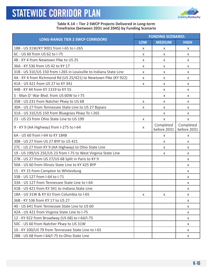

#### **Table K.14 – Tier 2 SWCP Projects Delivered in Long-term Timeframe (between 2031 and 2045) by Funding Scenario**

|                                                                    | <b>FUNDING SCENARIO:</b> |                          |                          |  |  |
|--------------------------------------------------------------------|--------------------------|--------------------------|--------------------------|--|--|
| <b>LONG-RANGE TIER 2 SWCP CORRIDORS</b>                            | <b>LOW</b>               | <b>MEDIUM</b>            | <b>HIGH</b>              |  |  |
| 18B - US 31W/KY 9001 from I-65 to I-265                            | X                        | X                        | X                        |  |  |
| 6C - US 60 from US 62 to I-75                                      | X                        | X                        | X                        |  |  |
| 4B - KY 4 from Newtown Pike to US 25                               | X                        | X                        | X                        |  |  |
| 36A - KY 536 from US 42 to KY 17                                   | X                        | X                        | X                        |  |  |
| 31B - US 31E/US 150 from I-265 in Louisville to Indiana State Line | X                        | X                        | X                        |  |  |
| 4A - KY 4 from Richmond Rd (US 25/421) to Newtown Pike (KY 922)    | X                        | X                        | X                        |  |  |
| 41A - US 421 from US 27 to KY 341                                  | X                        | X                        | X                        |  |  |
| 44B - KY 44 from KY 1319 to KY 55                                  |                          | X                        | X                        |  |  |
| 5 - Man O' War Blvd. from US 60W to I-75                           |                          | X                        | X                        |  |  |
| 35B - US 231 from Natcher Pkwy to US 68                            | X                        | X                        | X                        |  |  |
| 30A - US 27 from Tennessee State Line to US 27 Bypass              | X                        | X                        | X                        |  |  |
| 31A - US 31E/US 150 from Bluegrass Pkwy To I-265                   |                          | X                        | X                        |  |  |
| 23 - US 23 from Ohio State Line to US 199                          | X                        | X                        | X                        |  |  |
| 9 - KY 9 (AA Highway) from I-275 to I-64                           | X                        | Completed<br>before 2031 | Completed<br>before 2031 |  |  |
| 6A - US 60 from I-64 to KY 1848                                    |                          | X                        | X                        |  |  |
| 30B - US 27 from US 27 BYP to US 421                               |                          | X                        | X                        |  |  |
| 27C - US 27 from KY 9 (AA Highway) to Ohio State Line              |                          | X                        | X                        |  |  |
| 19 - US 199/US 25E/US 23 from I-75 to West Virginia State Line     |                          | X                        | X                        |  |  |
| 27B - US 27 from US 27/US 68 Split in Paris to KY 9                |                          |                          | X                        |  |  |
| 50A - US 60 from Illinois State Line to KY 425 BYP                 |                          |                          | X                        |  |  |
| 15 - KY 15 from Campton to Whitesburg                              |                          |                          | X                        |  |  |
| 33B - US 127 from I-64 to I-71                                     |                          |                          | X                        |  |  |
| 33A - US 127 from Tennessee State Line to I-64                     |                          |                          | X                        |  |  |
| 41B - US 421 from KY 341 to Indiana State Line                     |                          |                          | X                        |  |  |
| 18A - US 31W & KY 61 from Columbia to I-65                         | X                        | X                        | X                        |  |  |
| 36B - KY 536 from KY 17 to US 27                                   |                          |                          | X                        |  |  |
| 40 - US 641 from Tennessee State Line to US 60                     |                          |                          | X                        |  |  |
| 42A - US 421 from Virginia State Line to I-75                      |                          |                          | X                        |  |  |
| 12 - KY 922 from Broadway (US 68) to I-64/I-75                     |                          |                          | X                        |  |  |
| 50C - US 60 from Natcher Pkwy to US 31W                            |                          |                          | X                        |  |  |
| 10 - KY 100/US 79 from Tennessee State Line to I-65                |                          |                          | X                        |  |  |
| 28B - US 68 from I-64/I-75 to Ohio State Line                      |                          |                          | X                        |  |  |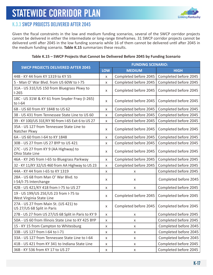

### K.3.3 SWCP PROJECTS DELIVERED AFTER 2045

Given the fiscal constraints in the low and medium funding scenarios, several of the SWCP corridor projects cannot be delivered in either the intermediate or long-range timeframes. 31 SWCP corridor projects cannot be delivered until after 2045 in the low funding scenario while 16 of them cannot be delivered until after 2045 in the medium funding scenario. **Table K.15** summarizes these results.

#### **Table K.15 – SWCP Projects that Cannot be Delivered Before 2045 by Funding Scenario**

| <b>SWCP PROJECTS DELIVERED AFTER 2045</b>                           | <b>FUNDING SCENARIO:</b> |                       |                       |  |  |  |
|---------------------------------------------------------------------|--------------------------|-----------------------|-----------------------|--|--|--|
|                                                                     | <b>LOW</b>               | <b>MEDIUM</b>         | <b>HIGH</b>           |  |  |  |
| 44B - KY 44 from KY 1319 to KY 55                                   | X                        | Completed before 2045 | Completed before 2045 |  |  |  |
| 5 - Man O' War Blvd. from US 60W to I-75                            | x                        | Completed before 2045 | Completed before 2045 |  |  |  |
| 31A - US 31E/US 150 from Bluegrass Pkwy to<br>$1-265$               | X                        | Completed before 2045 | Completed before 2045 |  |  |  |
| 18C - US 31W & KY 61 from Snyder Frwy (I-265)<br>to I-64            | X                        | Completed before 2045 | Completed before 2045 |  |  |  |
| 6B - US 60 from KY 1848 to US 62                                    | X                        | Completed before 2045 | Completed before 2045 |  |  |  |
| 38 - US 431 from Tennessee State Line to US 60                      | X                        | Completed before 2045 | Completed before 2045 |  |  |  |
| 39 - KY 100/US 31E/KY 90 from I-65 Exit 6 to US 27                  | X                        | Completed before 2045 | Completed before 2045 |  |  |  |
| 35A - US 127 from Tennessee State Line to<br>Natcher Pkwy           | X                        | Completed before 2045 | Completed before 2045 |  |  |  |
| 6A - US 60 from I-64 to KY 1848                                     | X                        | Completed before 2045 | Completed before 2045 |  |  |  |
| 30B - US 27 from US 27 BYP to US 421                                | x                        | Completed before 2045 | Completed before 2045 |  |  |  |
| 27C - US 27 from KY 9 (AA Highway) to<br><b>Ohio State Line</b>     | X                        | Completed before 2045 | Completed before 2045 |  |  |  |
| 46A - KY 245 from I-65 to Bluegrass Parkway                         | X                        | Completed before 2045 | Completed before 2045 |  |  |  |
| 32 - KY 11/KY 32/US 460 from AA Highway to US 23                    | X                        | Completed before 2045 | Completed before 2045 |  |  |  |
| 44A - KY 44 from I-65 to KY 1319                                    | X                        | x                     | Completed before 2045 |  |  |  |
| 28A - US 68 from Man O' War Blvd. to<br>I-54/I-75 Interchange       | X                        | X                     | Completed before 2045 |  |  |  |
| 42B - US 421/KY 418 from I-75 to US 27                              | $\pmb{\times}$           | X                     | Completed before 2045 |  |  |  |
| 19 - US 199/US 25E/US 23 from I-75 to<br>West Virginia State Line   | X                        | Completed before 2045 | Completed before 2045 |  |  |  |
| 27A - US 27 from Main St. (US 421) to<br>US 27/US 68 Split in Paris | X                        | Completed before 2045 | Completed before 2045 |  |  |  |
| 27B - US 27 from US 27/US 68 Split in Paris to KY 9                 | X                        | X                     | Completed before 2045 |  |  |  |
| 50A - US 60 from Illinois State Line to KY 425 BYP                  | X                        | X                     | Completed before 2045 |  |  |  |
| 15 - KY 15 from Campton to Whitesburg                               | X                        | X                     | Completed before 2045 |  |  |  |
| 33B - US 127 from I-64 to I-71                                      | X                        | X                     | Completed before 2045 |  |  |  |
| 33A - US 127 from Tennessee State Line to I-64                      | X                        | X                     | Completed before 2045 |  |  |  |
| 41B - US 421 from KY 341 to Indiana State Line                      | X                        | X                     | Completed before 2045 |  |  |  |
| 36B - KY 536 from KY 17 to US 27                                    | X                        | X                     | Completed before 2045 |  |  |  |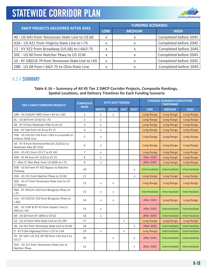

| <b>SWCP PROJECTS DELIVERED AFTER 2045</b>           |   | <b>FUNDING SCENARIO:</b> |                       |  |  |  |  |
|-----------------------------------------------------|---|--------------------------|-----------------------|--|--|--|--|
|                                                     |   | <b>MEDIUM</b>            | <b>HIGH</b>           |  |  |  |  |
| 40 - US 641 from Tennessee State Line to US 60      | x | x                        | Completed before 2045 |  |  |  |  |
| 42A - US 421 from Virginia State Line to I-75       | x | x                        | Completed before 2045 |  |  |  |  |
| 12 - KY 922 from Broadway (US 68) to I-64/I-75      | x |                          | Completed before 2045 |  |  |  |  |
| 50C - US 60 from Natcher Pkwy to US 31W             | X |                          | Completed before 2045 |  |  |  |  |
| 10 - KY 100/US 79 from Tennessee State Line to I-65 | x | x                        | Completed before 2045 |  |  |  |  |
| 28B - US 68 from I-64/I-75 to Ohio State Line       | x |                          | Completed before 2045 |  |  |  |  |

### K.3.4 SUMMARY

#### **Table K.16 – Summary of All 45 Tier 2 SWCP Corridor Projects, Composite Rankings, Spatial Locations, and Delivery Timelines for Each Funding Scenario**

| <b>TIER 2 SWCP CORRIDOR PROJECTS</b>                                  | <b>COMPOSITE</b> | <b>KYTC SHIFT REGION</b> |              |             |              | <b>FUNDING SCENARIO COMPLETION</b><br><b>TIMEFRAME</b> |               |              |
|-----------------------------------------------------------------------|------------------|--------------------------|--------------|-------------|--------------|--------------------------------------------------------|---------------|--------------|
|                                                                       | <b>RANK</b>      | <b>NORTH</b>             | <b>SOUTH</b> | <b>EAST</b> | <b>WEST</b>  | <b>LOW</b>                                             | <b>MEDIUM</b> | <b>HIGH</b>  |
| 18B - US 31W/KY 9001 from I-65 to I-265                               | $\mathbf{1}$     | X                        | X            |             |              | Long-Range                                             | Long-Range    | Long-Range   |
| 6C - US 60 from US 62 to I-75                                         | $\overline{2}$   | X                        |              |             |              | Long-Range                                             | Long-Range    | Long-Range   |
| 4B - KY 4 from Newtown Pike to US 25                                  | 3                | X                        |              |             |              | Long-Range                                             | Long-Range    | Long-Range   |
| 36A - KY 536 from US 42 to KY 17                                      | $\overline{4}$   | $\mathsf{x}$             |              |             |              | Long-Range                                             | Long-Range    | Long-Range   |
| 31B - US 31E/US 150 from I-265 in Louisville to<br>Indiana State Line | 5                | X                        |              |             |              | Long-Range                                             | Long-Range    | Long-Range   |
| 4A - KY 4 from Richmond Rd (US 25/421) to<br>Newtown Pike (KY 922)    | 6                | $\mathsf{x}$             |              |             |              | Long-Range                                             | Long-Range    | Long-Range   |
| 41A - US 421 from US 27 to KY 341                                     | $\overline{7}$   | X                        |              |             |              | Long-Range                                             | Long-Range    | Long-Range   |
| 44B - KY 44 from KY 1319 to KY 55                                     | 8                | X                        |              |             |              | <b>After 2045</b>                                      | Long-Range    | Long-Range   |
| 5 - Man O' War Blvd, from US 60W to I-75                              | 9                | X                        |              |             |              | <b>After 2045</b>                                      | Long-Range    | Long-Range   |
| 50B - US 60 from KY 425 Bypass to Natcher<br>Parkway                  | 10               |                          |              |             | X            | Intermediate                                           | Intermediate  | Intermediate |
| 35B - US 231 from Natcher Pkwy to US 68                               | 11               |                          |              |             | $\mathsf{x}$ | Long-Range                                             | Long-Range    | Long-Range   |
| 30A - US 27 from Tennessee State Line to US<br>27 Bypass              | 12               | X                        | X            |             |              | Long-Range                                             | Long-Range    | Long-Range   |
| 46B - KY 245/US 150 from Bluegrass Pkwy to<br>$1 - 75$                | 13               | X                        | X            |             |              | Intermediate                                           | Intermediate  | Intermediate |
| 31A - US 31E/US 150 from Bluegrass Pkwy to<br>$1-265$                 | 14               | X                        | X            |             |              | <b>After 2045</b>                                      | Long-Range    | Long-Range   |
| 18C - US 31W & KY 61 from Snyder Frwy (I-<br>265) to I-64             | 15               | X                        |              |             |              | <b>After 2045</b>                                      | Intermediate  | Intermediate |
| 6B - US 60 from KY 1848 to US 62                                      | 16               | X                        |              |             |              | <b>After 2045</b>                                      | Intermediate  | Intermediate |
| 23 - US 23 from Ohio State Line to US 199                             | 17               |                          |              | X           |              | Long-Range                                             | Long-Range    | Long-Range   |
| 38 - US 431 from Tennessee State Line to US 60                        | 18               |                          |              |             | X            | <b>After 2045</b>                                      | Intermediate  | Intermediate |
| 9 - KY 9 (AA Highway) from I-275 to I-64                              | 19               | $\mathsf{x}$             |              | X           |              | Long-Range                                             | Intermediate  | Intermediate |
| 39 - KY 100 / US 31E /KY 90 from I-65 Exit 6 to<br><b>US 27</b>       | 20               |                          | X            |             | $\mathsf{x}$ | <b>After 2045</b>                                      | Intermediate  | Intermediate |
| 35A - US 127 from Tennessee State Line to<br>Natcher Pkwy             | 21               |                          |              |             | $\mathsf{x}$ | <b>After 2045</b>                                      | Intermediate  | Intermediate |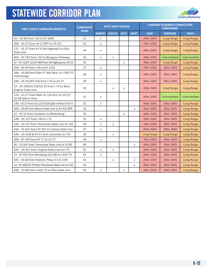

| <b>TIER 2 SWCP CORRIDOR PROJECTS</b>                                 | <b>COMPOSITE</b><br><b>RANK</b> | <b>KYTC SHIFT REGION</b> |              |              |              |                   |                   |              | <b>FUNDING SCENARIO COMPLETION</b> |  |
|----------------------------------------------------------------------|---------------------------------|--------------------------|--------------|--------------|--------------|-------------------|-------------------|--------------|------------------------------------|--|
|                                                                      |                                 | <b>NORTH</b>             | <b>SOUTH</b> | <b>EAST</b>  | <b>WEST</b>  | <b>LOW</b>        | <b>MEDIUM</b>     | <b>HIGH</b>  |                                    |  |
| 6A - US 60 from I-64 to KY 1848                                      | 22                              | X                        |              |              |              | <b>After 2045</b> | Long-Range        | Long-Range   |                                    |  |
| 30B - US 27 from US 27 BYP to US 421                                 | 23                              | $\mathsf{x}$             |              |              |              | <b>After 2045</b> | Long-Range        | Long-Range   |                                    |  |
| 27C - US 27 from KY 9 (AA Highway) to Ohio<br><b>State Line</b>      | 24                              | $\times$                 |              |              |              | <b>After 2045</b> | Long-Range        | Long-Range   |                                    |  |
| 46A - KY 245 from I-65 to Bluegrass Parkway                          | 25                              | $\mathsf{x}$             | X            |              |              | <b>After 2045</b> | Intermediate      | Intermediate |                                    |  |
| 32 - KY 11/KY 32/US 460 from AA Highway to US 23                     | 26                              |                          |              | $\mathsf{x}$ |              | <b>After 2045</b> | Long-Range        | Long-Range   |                                    |  |
| 44A - KY 44 from I-65 to KY 1319                                     | 27                              | X                        |              |              |              | <b>After 2045</b> | <b>After 2045</b> | Long-Range   |                                    |  |
| 28A - US 68 from Man O' War Blvd. to I-54/I-75<br>Interchange        | 28                              | $\times$                 |              |              |              | <b>After 2045</b> | <b>After 2045</b> | Long-Range   |                                    |  |
| 42B - US 421/KY 418 from I-75 to US 27                               | 29                              | X                        |              |              |              | <b>After 2045</b> | <b>After 2045</b> | Long-Range   |                                    |  |
| 19 - US 199/US 25E/US 23 from I-75 to West<br>Virginia State Line    | 30                              |                          | X            | X            |              | <b>After 2045</b> | Long-Range        | Long-Range   |                                    |  |
| 27A - US 27 from Main St. (US 421) to US 27/<br>US 68 Split in Paris | 31                              | $\mathsf{x}$             |              |              |              | <b>After 2045</b> | Intermediate      | Intermediate |                                    |  |
| 27B - US 27 from US 27/US 68 Split in Paris to KY 9                  | 32                              | $\mathsf{x}$             |              |              |              | <b>After 2045</b> | <b>After 2045</b> | Long-Range   |                                    |  |
| 50A - US 60 from Illinois State Line to KY 425 BYP                   | 33                              |                          |              |              | $\mathsf{x}$ | <b>After 2045</b> | <b>After 2045</b> | Long-Range   |                                    |  |
| 15 - KY 15 from Campton to Whitesburg                                | 34                              |                          |              | X            |              | <b>After 2045</b> | <b>After 2045</b> | Long-Range   |                                    |  |
| 33B - US 127 from I-64 to I-71                                       | 35                              | X                        |              |              |              | <b>After 2045</b> | <b>After 2045</b> | Long-Range   |                                    |  |
| 33A - US 127 from Tennessee State Line to I-64                       | 36                              | X                        | X            |              |              | <b>After 2045</b> | <b>After 2045</b> | Long-Range   |                                    |  |
| 41B - US 421 from KY 341 to Indiana State Line                       | 37                              | $\times$                 |              |              |              | <b>After 2045</b> | <b>After 2045</b> | Long-Range   |                                    |  |
| 18A - US 31W & KY 61 from Columbia to I-65                           | 38                              |                          | $\mathsf{x}$ |              |              | Long-Range        | Long-Range        | Long-Range   |                                    |  |
| 36B - KY 536 from KY 17 to US 27                                     | 39                              | $\times$                 |              |              |              | <b>After 2045</b> | <b>After 2045</b> | Long-Range   |                                    |  |
| 40 - US 641 from Tennessee State Line to US 60                       | 40                              |                          |              |              | X            | <b>After 2045</b> | <b>After 2045</b> | Long-Range   |                                    |  |
| 42A - US 421 from Virginia State Line to I-75                        | 41                              | $\mathsf{x}$             | X            |              |              | <b>After 2045</b> | <b>After 2045</b> | Long-Range   |                                    |  |
| 12 - KY 922 from Broadway (US 68) to I-64/I-75                       | 42                              | X                        |              |              |              | <b>After 2045</b> | <b>After 2045</b> | Long-Range   |                                    |  |
| 50C - US 60 from Natcher Pkwy to US 31W                              | 43                              |                          | X            |              | X            | <b>After 2045</b> | <b>After 2045</b> | Long-Range   |                                    |  |
| 10 - KY 100/US 79 from Tennessee State Line to I-65                  | 44                              |                          |              |              | X            | <b>After 2045</b> | <b>After 2045</b> | Long-Range   |                                    |  |
| 28B - US 68 from I-64/I-75 to Ohio State Line                        | 45                              | X                        |              | X            |              | <b>After 2045</b> | <b>After 2045</b> | Long-Range   |                                    |  |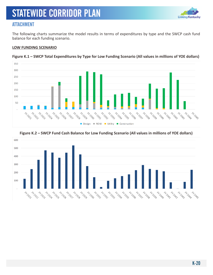

### ATTACHMENT

The following charts summarize the model results in terms of expenditures by type and the SWCP cash fund balance for each funding scenario.

#### **LOW FUNDING SCENARIO**



**Figure K.1 – SWCP Total Expenditures by Type for Low Funding Scenario (All values in millions of YOE dollars)**

#### **Figure K.2 – SWCP Fund Cash Balance for Low Funding Scenario (All values in millions of YOE dollars)**

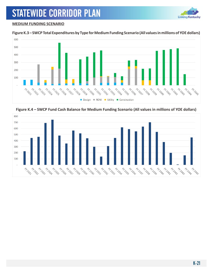

#### **MEDIUM FUNDING SCENARIO**

#### **Figure K.3 – SWCP Total Expenditures by Type for Medium Funding Scenario (All values in millions of YOE dollars)**



**Figure K.4 – SWCP Fund Cash Balance for Medium Funding Scenario (All values in millions of YOE dollars)**